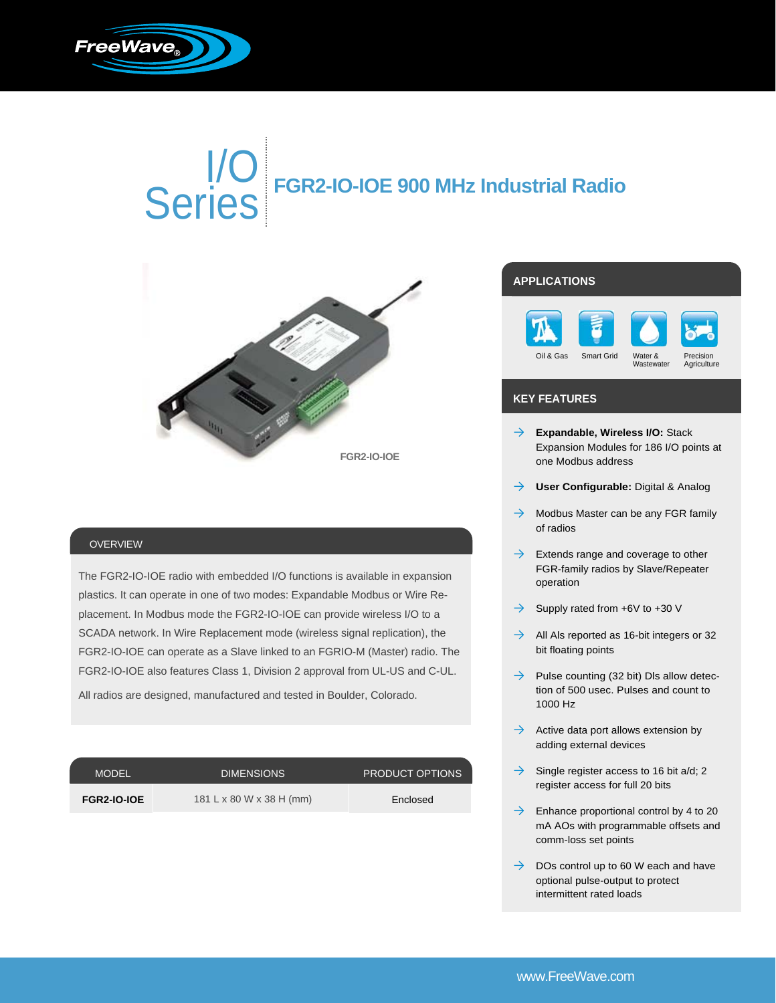

# I/O Series **FGR2-IO-IOE 900 MHz Industrial Radio**



#### OVERVIEW

The FGR2-IO-IOE radio with embedded I/O functions is available in expansion plastics. It can operate in one of two modes: Expandable Modbus or Wire Replacement. In Modbus mode the FGR2-IO-IOE can provide wireless I/O to a SCADA network. In Wire Replacement mode (wireless signal replication), the FGR2-IO-IOE can operate as a Slave linked to an FGRIO-M (Master) radio. The FGR2-IO-IOE also features Class 1, Division 2 approval from UL-US and C-UL.

All radios are designed, manufactured and tested in Boulder, Colorado.

| <b>MODEL</b>       | <b>DIMENSIONS</b>        | PRODUCT OPTIONS |
|--------------------|--------------------------|-----------------|
| <b>FGR2-IO-IOE</b> | 181 L x 80 W x 38 H (mm) | Enclosed        |

### **APPLICATIONS**



#### **KEY FEATURES**

- → **Expandable, Wireless I/O:** Stack Expansion Modules for 186 I/O points at one Modbus address
- **User Configurable: Digital & Analog**
- $\rightarrow$  Modbus Master can be any FGR family of radios
- $\rightarrow$  Extends range and coverage to other FGR-family radios by Slave/Repeater operation
- $\rightarrow$  Supply rated from +6V to +30 V
- $\rightarrow$  All Als reported as 16-bit integers or 32 bit floating points
- $\rightarrow$  Pulse counting (32 bit) Dls allow detection of 500 usec. Pulses and count to 1000 Hz
- $\rightarrow$  Active data port allows extension by adding external devices
- $\rightarrow$  Single register access to 16 bit a/d; 2 register access for full 20 bits
- $\rightarrow$  Enhance proportional control by 4 to 20 mA AOs with programmable offsets and comm-loss set points
- $\rightarrow$  DOs control up to 60 W each and have optional pulse-output to protect intermittent rated loads